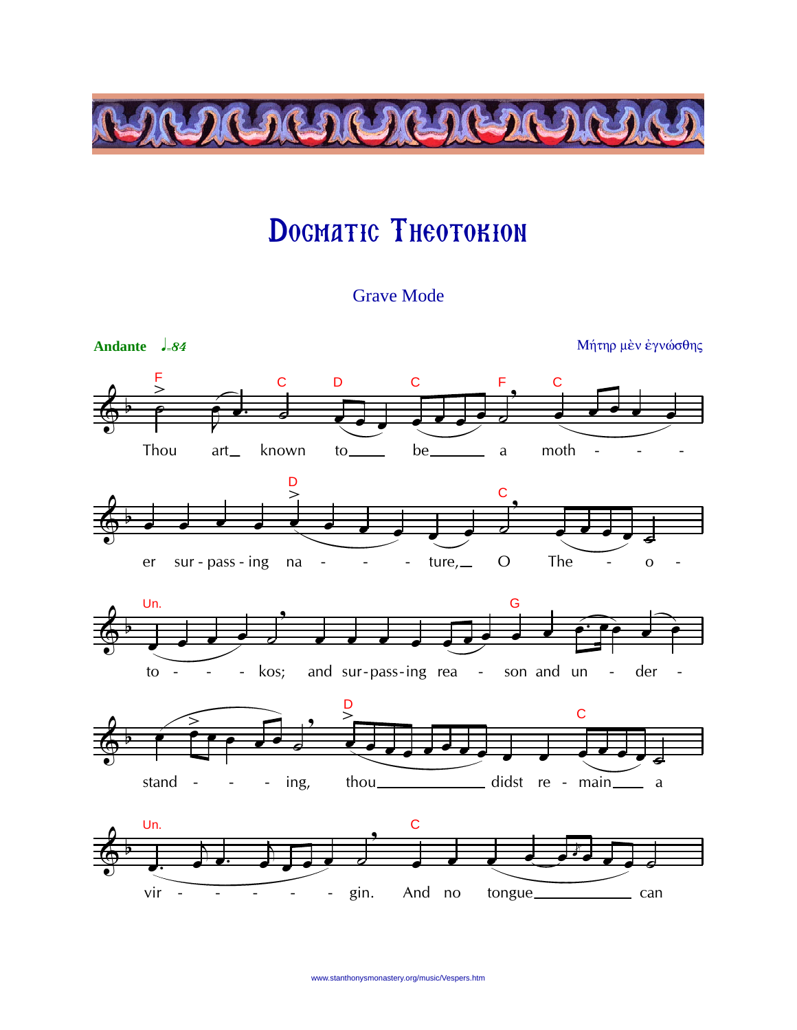

## DOGMATIC THEOTOKION

**Grave Mode** 

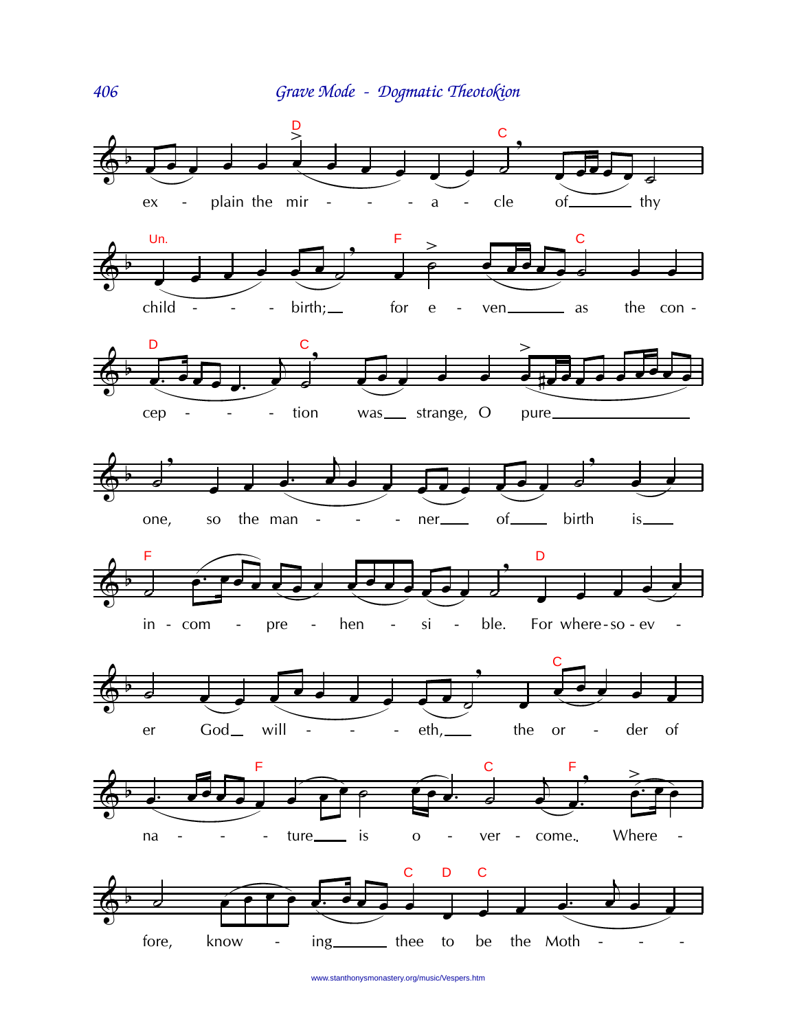